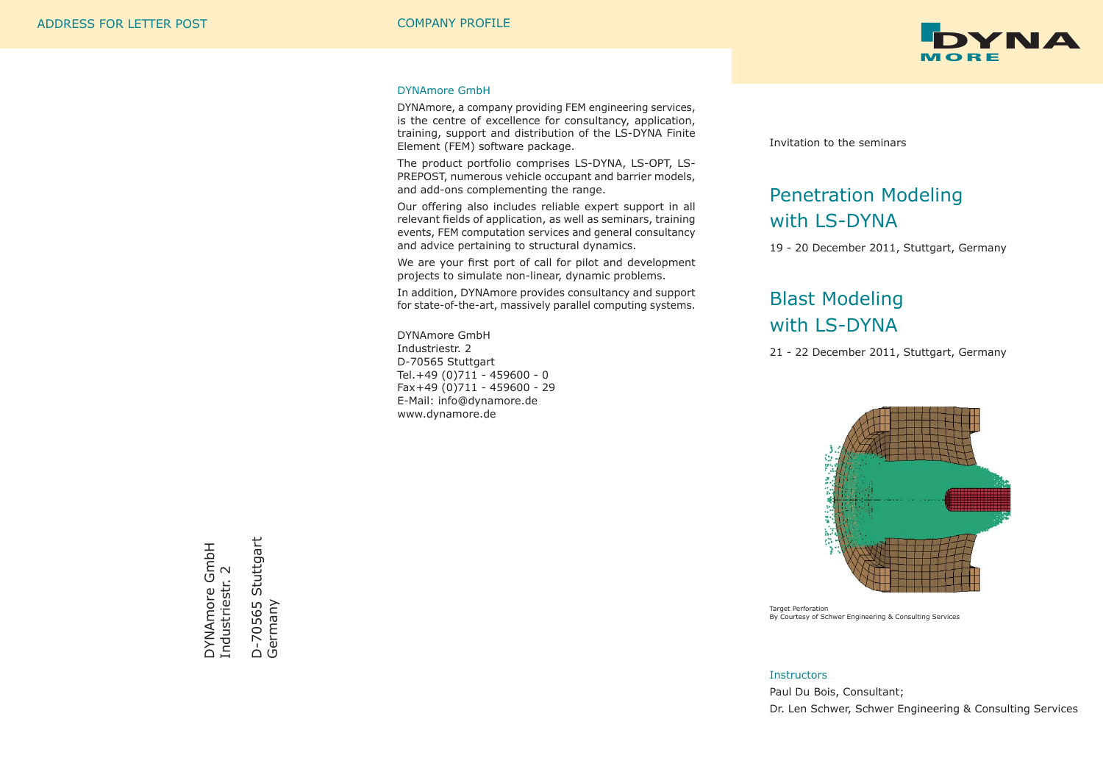

### DYNAmore GmbH

DYNAmore, a company providing FEM engineering services, is the centre of excellence for consultancy, application, training, support and distribution of the LS-DYNA Finite Element (FEM) software package.

The product portfolio comprises LS-DYNA, LS-OPT, LS-PREPOST, numerous vehicle occupant and barrier models, and add-ons complementing the range.

Our offering also includes reliable expert support in all relevant fields of application, as well as seminars, training events, FEM computation services and general consultancy and advice pertaining to structural dynamics.

We are your first port of call for pilot and development projects to simulate non-linear, dynamic problems.

In addition, DYNAmore provides consultancy and support for state-of-the-art, massively parallel computing systems.

DYNAmore GmbH Industriestr. 2 D-70565 Stuttgart Tel. +49 (0)711 - 459600 - 0 Fax +49 (0)711 - 459600 - 29 E-Mail: info@dynamore.de www.dynamore.de

Invitation to the seminars

# Penetration Modeling with LS-DYNA

19 - 20 December 2011, Stuttgart, Germany

# Blast Modeling with LS-DYNA

21 - 22 December 2011, Stuttgart, Germany



Target Perforation By Courtesy of Schwer Engineering & Consulting Services

#### **Instructors**

Paul Du Bois, Consultant; Dr. Len Schwer, Schwer Engineering & Consulting Services

DYNAmore GmbH<br>Industriestr. 2 DYNAmore GmbH Industriestr. 2 Industriestr.

Stuttgart D-70565 Stuttgart D-70565 S